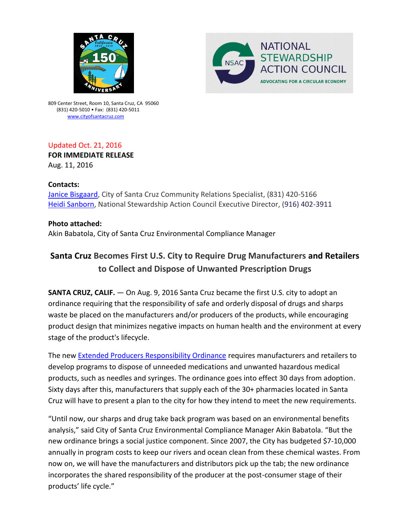



809 Center Street, Room 10, Santa Cruz, CA 95060 (831) 420-5010 • Fax: (831) 420-5011 [www.cityofsantacruz.com](http://www.cityofsantacruz.com/)

### Updated Oct. 21, 2016 **FOR IMMEDIATE RELEASE**

Aug. 11, 2016

## **Contacts:**

[Janice Bisgaard,](mailto:jbisgaard@cityofsantacruz.com) City of Santa Cruz Community Relations Specialist, (831) 420-5166 [Heidi Sanborn,](mailto:Heidi%20Sanborn%20%3cHeidi@nsaction.us%3e) National Stewardship Action Council Executive Director, (916) 402-3911

## **Photo attached:**

Akin Babatola, City of Santa Cruz Environmental Compliance Manager

# **Santa Cruz Becomes First U.S. City to Require Drug Manufacturers and Retailers to Collect and Dispose of Unwanted Prescription Drugs**

**SANTA CRUZ, CALIF.** — On Aug. 9, 2016 Santa Cruz became the first U.S. city to adopt an ordinance requiring that the responsibility of safe and orderly disposal of drugs and sharps waste be placed on the manufacturers and/or producers of the products, while encouraging product design that minimizes negative impacts on human health and the environment at every stage of the product's lifecycle.

The new [Extended Producers Responsibility Ordinance](http://www.cityofsantacruz.com/home/showdocument?id=53808) requires manufacturers and retailers to develop programs to dispose of unneeded medications and unwanted hazardous medical products, such as needles and syringes. The ordinance goes into effect 30 days from adoption. Sixty days after this, manufacturers that supply each of the 30+ pharmacies located in Santa Cruz will have to present a plan to the city for how they intend to meet the new requirements.

"Until now, our sharps and drug take back program was based on an environmental benefits analysis," said City of Santa Cruz Environmental Compliance Manager Akin Babatola. "But the new ordinance brings a social justice component. Since 2007, the City has budgeted \$7-10,000 annually in program costs to keep our rivers and ocean clean from these chemical wastes. From now on, we will have the manufacturers and distributors pick up the tab; the new ordinance incorporates the shared responsibility of the producer at the post-consumer stage of their products' life cycle."